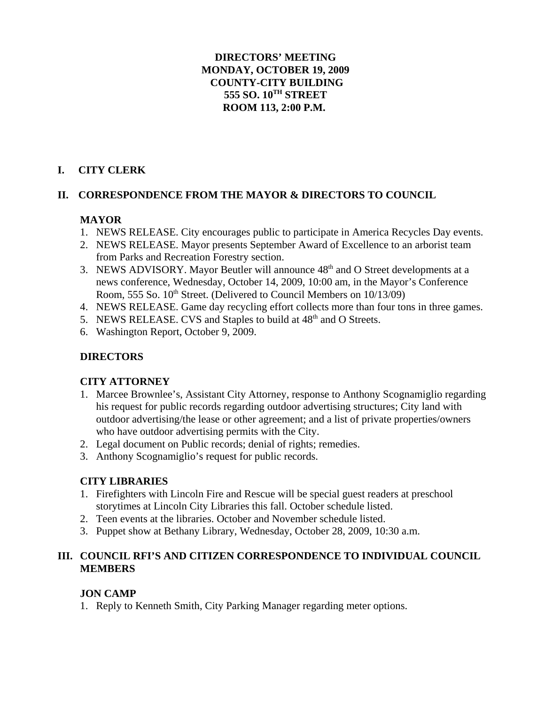# **DIRECTORS' MEETING MONDAY, OCTOBER 19, 2009 COUNTY-CITY BUILDING 555 SO. 10TH STREET ROOM 113, 2:00 P.M.**

# **I. CITY CLERK**

# **II. CORRESPONDENCE FROM THE MAYOR & DIRECTORS TO COUNCIL**

# **MAYOR**

- 1. NEWS RELEASE. City encourages public to participate in America Recycles Day events.
- 2. NEWS RELEASE. Mayor presents September Award of Excellence to an arborist team from Parks and Recreation Forestry section.
- 3. NEWS ADVISORY. Mayor Beutler will announce  $48<sup>th</sup>$  and O Street developments at a news conference, Wednesday, October 14, 2009, 10:00 am, in the Mayor's Conference Room, 555 So.  $10^{th}$  Street. (Delivered to Council Members on  $10/13/09$ )
- 4. NEWS RELEASE. Game day recycling effort collects more than four tons in three games.
- 5. NEWS RELEASE. CVS and Staples to build at 48<sup>th</sup> and O Streets.
- 6. Washington Report, October 9, 2009.

# **DIRECTORS**

# **CITY ATTORNEY**

- 1. Marcee Brownlee's, Assistant City Attorney, response to Anthony Scognamiglio regarding his request for public records regarding outdoor advertising structures; City land with outdoor advertising/the lease or other agreement; and a list of private properties/owners who have outdoor advertising permits with the City.
- 2. Legal document on Public records; denial of rights; remedies.
- 3. Anthony Scognamiglio's request for public records.

# **CITY LIBRARIES**

- 1. Firefighters with Lincoln Fire and Rescue will be special guest readers at preschool storytimes at Lincoln City Libraries this fall. October schedule listed.
- 2. Teen events at the libraries. October and November schedule listed.
- 3. Puppet show at Bethany Library, Wednesday, October 28, 2009, 10:30 a.m.

# **III. COUNCIL RFI'S AND CITIZEN CORRESPONDENCE TO INDIVIDUAL COUNCIL MEMBERS**

# **JON CAMP**

1. Reply to Kenneth Smith, City Parking Manager regarding meter options.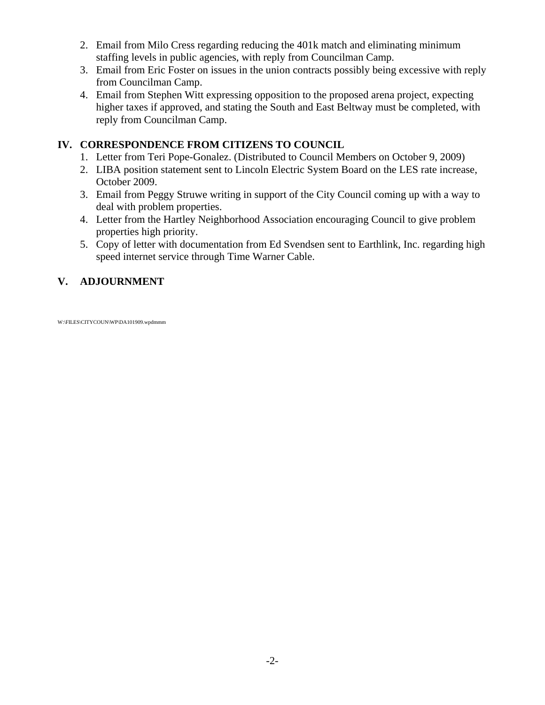- 2. Email from Milo Cress regarding reducing the 401k match and eliminating minimum staffing levels in public agencies, with reply from Councilman Camp.
- 3. Email from Eric Foster on issues in the union contracts possibly being excessive with reply from Councilman Camp.
- 4. Email from Stephen Witt expressing opposition to the proposed arena project, expecting higher taxes if approved, and stating the South and East Beltway must be completed, with reply from Councilman Camp.

# **IV. CORRESPONDENCE FROM CITIZENS TO COUNCIL**

- 1. Letter from Teri Pope-Gonalez. (Distributed to Council Members on October 9, 2009)
- 2. LIBA position statement sent to Lincoln Electric System Board on the LES rate increase, October 2009.
- 3. Email from Peggy Struwe writing in support of the City Council coming up with a way to deal with problem properties.
- 4. Letter from the Hartley Neighborhood Association encouraging Council to give problem properties high priority.
- 5. Copy of letter with documentation from Ed Svendsen sent to Earthlink, Inc. regarding high speed internet service through Time Warner Cable.

# **V. ADJOURNMENT**

W:\FILES\CITYCOUN\WP\DA101909.wpdmmm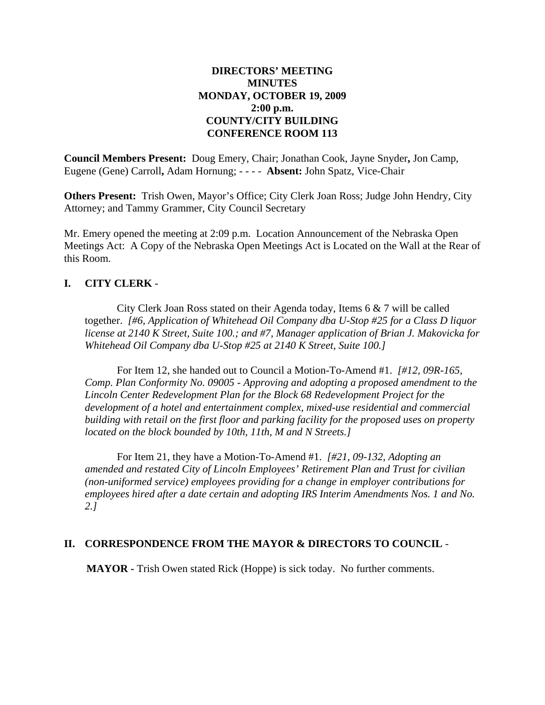## **DIRECTORS' MEETING MINUTES MONDAY, OCTOBER 19, 2009 2:00 p.m. COUNTY/CITY BUILDING CONFERENCE ROOM 113**

**Council Members Present:** Doug Emery, Chair; Jonathan Cook, Jayne Snyder**,** Jon Camp, Eugene (Gene) Carroll**,** Adam Hornung; - - - - **Absent:** John Spatz, Vice-Chair

**Others Present:** Trish Owen, Mayor's Office; City Clerk Joan Ross; Judge John Hendry, City Attorney; and Tammy Grammer, City Council Secretary

Mr. Emery opened the meeting at 2:09 p.m. Location Announcement of the Nebraska Open Meetings Act: A Copy of the Nebraska Open Meetings Act is Located on the Wall at the Rear of this Room.

# **I. CITY CLERK** -

City Clerk Joan Ross stated on their Agenda today, Items 6 & 7 will be called together. *[#6, Application of Whitehead Oil Company dba U-Stop #25 for a Class D liquor license at 2140 K Street, Suite 100.; and #7, Manager application of Brian J. Makovicka for Whitehead Oil Company dba U-Stop #25 at 2140 K Street, Suite 100.]*

For Item 12, she handed out to Council a Motion-To-Amend #1. *[#12, 09R-165, Comp. Plan Conformity No. 09005 - Approving and adopting a proposed amendment to the Lincoln Center Redevelopment Plan for the Block 68 Redevelopment Project for the development of a hotel and entertainment complex, mixed-use residential and commercial building with retail on the first floor and parking facility for the proposed uses on property located on the block bounded by 10th, 11th, M and N Streets.]*

For Item 21, they have a Motion-To-Amend #1. *[#21, 09-132, Adopting an amended and restated City of Lincoln Employees' Retirement Plan and Trust for civilian (non-uniformed service) employees providing for a change in employer contributions for employees hired after a date certain and adopting IRS Interim Amendments Nos. 1 and No. 2.]*

### **II. CORRESPONDENCE FROM THE MAYOR & DIRECTORS TO COUNCIL** -

**MAYOR -** Trish Owen stated Rick (Hoppe) is sick today. No further comments.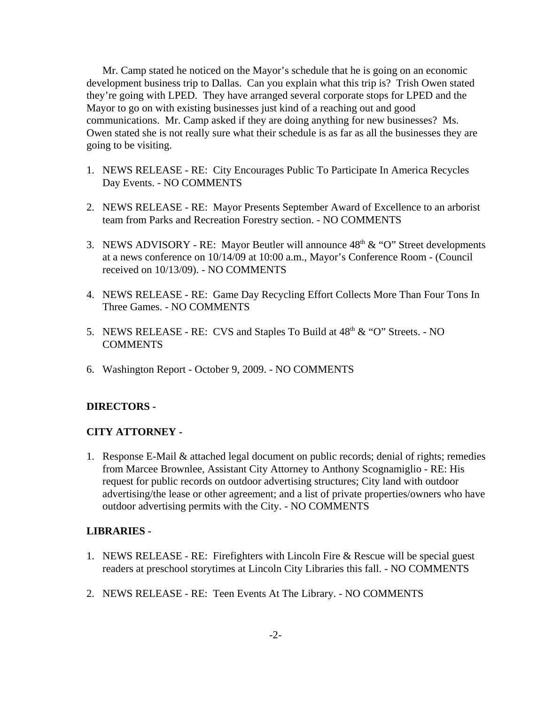Mr. Camp stated he noticed on the Mayor's schedule that he is going on an economic development business trip to Dallas. Can you explain what this trip is? Trish Owen stated they're going with LPED. They have arranged several corporate stops for LPED and the Mayor to go on with existing businesses just kind of a reaching out and good communications. Mr. Camp asked if they are doing anything for new businesses? Ms. Owen stated she is not really sure what their schedule is as far as all the businesses they are going to be visiting.

- 1. NEWS RELEASE RE: City Encourages Public To Participate In America Recycles Day Events. - NO COMMENTS
- 2. NEWS RELEASE RE: Mayor Presents September Award of Excellence to an arborist team from Parks and Recreation Forestry section. - NO COMMENTS
- 3. NEWS ADVISORY RE: Mayor Beutler will announce  $48<sup>th</sup> \& ^{\circ}$  O" Street developments at a news conference on 10/14/09 at 10:00 a.m., Mayor's Conference Room - (Council received on 10/13/09). - NO COMMENTS
- 4. NEWS RELEASE RE: Game Day Recycling Effort Collects More Than Four Tons In Three Games. - NO COMMENTS
- 5. NEWS RELEASE RE: CVS and Staples To Build at  $48<sup>th</sup> \& ^{\circ}$  O" Streets. NO COMMENTS
- 6. Washington Report October 9, 2009. NO COMMENTS

#### **DIRECTORS -**

### **CITY ATTORNEY -**

1. Response E-Mail & attached legal document on public records; denial of rights; remedies from Marcee Brownlee, Assistant City Attorney to Anthony Scognamiglio - RE: His request for public records on outdoor advertising structures; City land with outdoor advertising/the lease or other agreement; and a list of private properties/owners who have outdoor advertising permits with the City. - NO COMMENTS

#### **LIBRARIES -**

- 1. NEWS RELEASE RE: Firefighters with Lincoln Fire & Rescue will be special guest readers at preschool storytimes at Lincoln City Libraries this fall. - NO COMMENTS
- 2. NEWS RELEASE RE: Teen Events At The Library. NO COMMENTS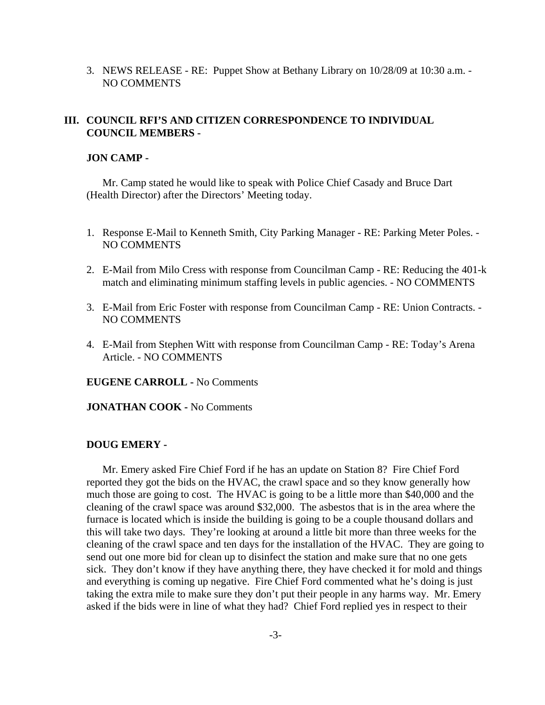3. NEWS RELEASE - RE: Puppet Show at Bethany Library on 10/28/09 at 10:30 a.m. - NO COMMENTS

### **III. COUNCIL RFI'S AND CITIZEN CORRESPONDENCE TO INDIVIDUAL COUNCIL MEMBERS -**

#### **JON CAMP -**

Mr. Camp stated he would like to speak with Police Chief Casady and Bruce Dart (Health Director) after the Directors' Meeting today.

- 1. Response E-Mail to Kenneth Smith, City Parking Manager RE: Parking Meter Poles. NO COMMENTS
- 2. E-Mail from Milo Cress with response from Councilman Camp RE: Reducing the 401-k match and eliminating minimum staffing levels in public agencies. - NO COMMENTS
- 3. E-Mail from Eric Foster with response from Councilman Camp RE: Union Contracts. NO COMMENTS
- 4. E-Mail from Stephen Witt with response from Councilman Camp RE: Today's Arena Article. - NO COMMENTS

**EUGENE CARROLL -** No Comments

**JONATHAN COOK -** No Comments

#### **DOUG EMERY -**

Mr. Emery asked Fire Chief Ford if he has an update on Station 8? Fire Chief Ford reported they got the bids on the HVAC, the crawl space and so they know generally how much those are going to cost. The HVAC is going to be a little more than \$40,000 and the cleaning of the crawl space was around \$32,000. The asbestos that is in the area where the furnace is located which is inside the building is going to be a couple thousand dollars and this will take two days. They're looking at around a little bit more than three weeks for the cleaning of the crawl space and ten days for the installation of the HVAC. They are going to send out one more bid for clean up to disinfect the station and make sure that no one gets sick. They don't know if they have anything there, they have checked it for mold and things and everything is coming up negative. Fire Chief Ford commented what he's doing is just taking the extra mile to make sure they don't put their people in any harms way. Mr. Emery asked if the bids were in line of what they had? Chief Ford replied yes in respect to their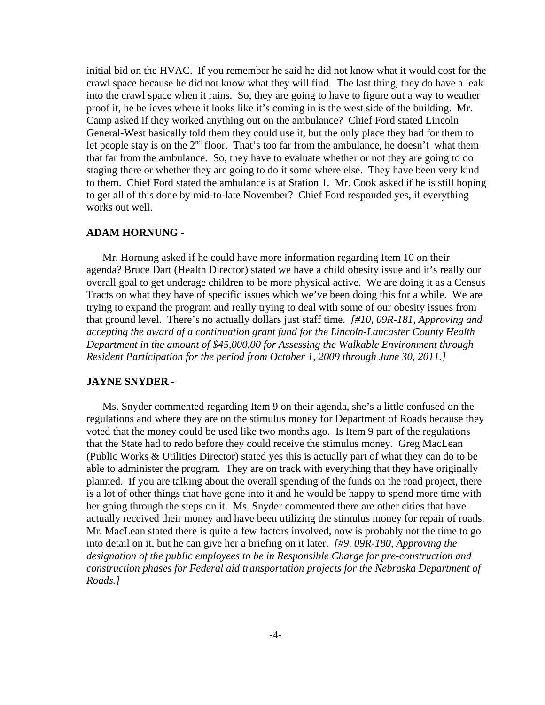initial bid on the HVAC. If you remember he said he did not know what it would cost for the crawl space because he did not know what they will find. The last thing, they do have a leak into the crawl space when it rains. So, they are going to have to figure out a way to weather proof it, he believes where it looks like it's coming in is the west side of the building. Mr. Camp asked if they worked anything out on the ambulance? Chief Ford stated Lincoln General-West basically told them they could use it, but the only place they had for them to let people stay is on the  $2<sup>nd</sup>$  floor. That's too far from the ambulance, he doesn't what them that far from the ambulance. So, they have to evaluate whether or not they are going to do staging there or whether they are going to do it some where else. They have been very kind to them. Chief Ford stated the ambulance is at Station 1. Mr. Cook asked if he is still hoping to get all of this done by mid-to-late November? Chief Ford responded yes, if everything works out well.

#### **ADAM HORNUNG -**

Mr. Hornung asked if he could have more information regarding Item 10 on their agenda? Bruce Dart (Health Director) stated we have a child obesity issue and it's really our overall goal to get underage children to be more physical active. We are doing it as a Census Tracts on what they have of specific issues which we've been doing this for a while. We are trying to expand the program and really trying to deal with some of our obesity issues from that ground level. There's no actually dollars just staff time. *[#10, 09R-181, Approving and accepting the award of a continuation grant fund for the Lincoln-Lancaster County Health Department in the amount of \$45,000.00 for Assessing the Walkable Environment through Resident Participation for the period from October 1, 2009 through June 30, 2011.]*

#### **JAYNE SNYDER -**

Ms. Snyder commented regarding Item 9 on their agenda, she's a little confused on the regulations and where they are on the stimulus money for Department of Roads because they voted that the money could be used like two months ago. Is Item 9 part of the regulations that the State had to redo before they could receive the stimulus money. Greg MacLean (Public Works & Utilities Director) stated yes this is actually part of what they can do to be able to administer the program. They are on track with everything that they have originally planned. If you are talking about the overall spending of the funds on the road project, there is a lot of other things that have gone into it and he would be happy to spend more time with her going through the steps on it. Ms. Snyder commented there are other cities that have actually received their money and have been utilizing the stimulus money for repair of roads. Mr. MacLean stated there is quite a few factors involved, now is probably not the time to go into detail on it, but he can give her a briefing on it later. *[#9, 09R-180, Approving the designation of the public employees to be in Responsible Charge for pre-construction and construction phases for Federal aid transportation projects for the Nebraska Department of Roads.]*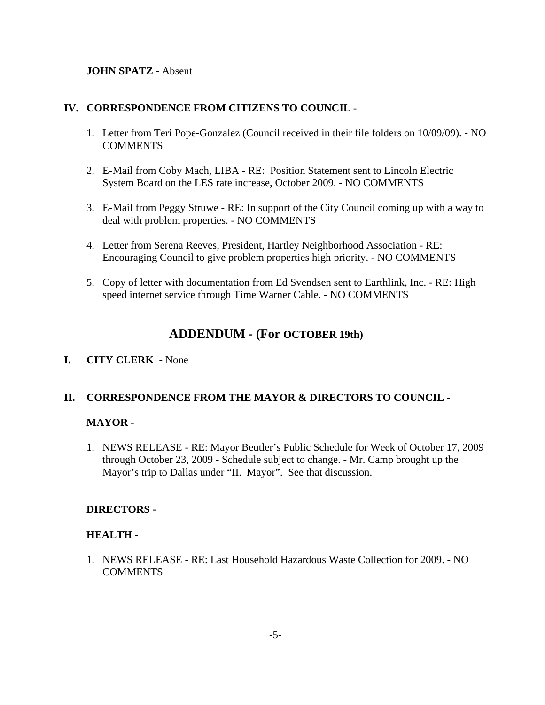### **JOHN SPATZ -** Absent

### **IV. CORRESPONDENCE FROM CITIZENS TO COUNCIL** -

- 1. Letter from Teri Pope-Gonzalez (Council received in their file folders on 10/09/09). NO **COMMENTS**
- 2. E-Mail from Coby Mach, LIBA RE: Position Statement sent to Lincoln Electric System Board on the LES rate increase, October 2009. - NO COMMENTS
- 3. E-Mail from Peggy Struwe RE: In support of the City Council coming up with a way to deal with problem properties. - NO COMMENTS
- 4. Letter from Serena Reeves, President, Hartley Neighborhood Association RE: Encouraging Council to give problem properties high priority. - NO COMMENTS
- 5. Copy of letter with documentation from Ed Svendsen sent to Earthlink, Inc. RE: High speed internet service through Time Warner Cable. - NO COMMENTS

# **ADDENDUM - (For OCTOBER 19th)**

# **I. CITY CLERK -** None

### **II. CORRESPONDENCE FROM THE MAYOR & DIRECTORS TO COUNCIL** -

### **MAYOR -**

1. NEWS RELEASE - RE: Mayor Beutler's Public Schedule for Week of October 17, 2009 through October 23, 2009 - Schedule subject to change. - Mr. Camp brought up the Mayor's trip to Dallas under "II. Mayor". See that discussion.

### **DIRECTORS -**

### **HEALTH -**

1. NEWS RELEASE - RE: Last Household Hazardous Waste Collection for 2009. - NO COMMENTS